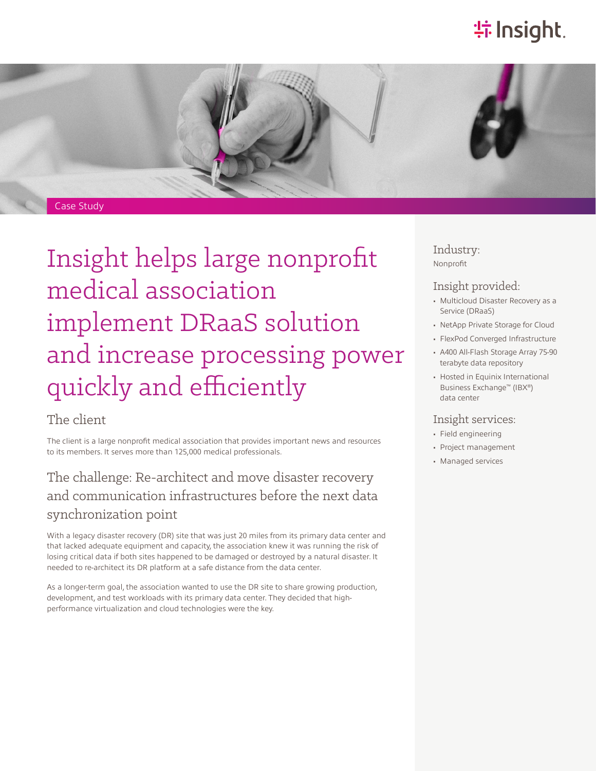# **特Insight**.



# Insight helps large nonprofit medical association implement DRaaS solution and increase processing power quickly and efficiently

### The client

The client is a large nonprofit medical association that provides important news and resources to its members. It serves more than 125,000 medical professionals.

## The challenge: Re-architect and move disaster recovery and communication infrastructures before the next data synchronization point

With a legacy disaster recovery (DR) site that was just 20 miles from its primary data center and that lacked adequate equipment and capacity, the association knew it was running the risk of losing critical data if both sites happened to be damaged or destroyed by a natural disaster. It needed to re-architect its DR platform at a safe distance from the data center.

As a longer-term goal, the association wanted to use the DR site to share growing production, development, and test workloads with its primary data center. They decided that highperformance virtualization and cloud technologies were the key.

Industry: Nonprofit

#### Insight provided:

- Multicloud Disaster Recovery as a Service (DRaaS)
- NetApp Private Storage for Cloud
- FlexPod Converged Infrastructure
- A400 All-Flash Storage Array 75-90 terabyte data repository
- Hosted in Equinix International Business Exchange™ (IBX®) data center

#### Insight services:

- Field engineering
- Project management
- Managed services